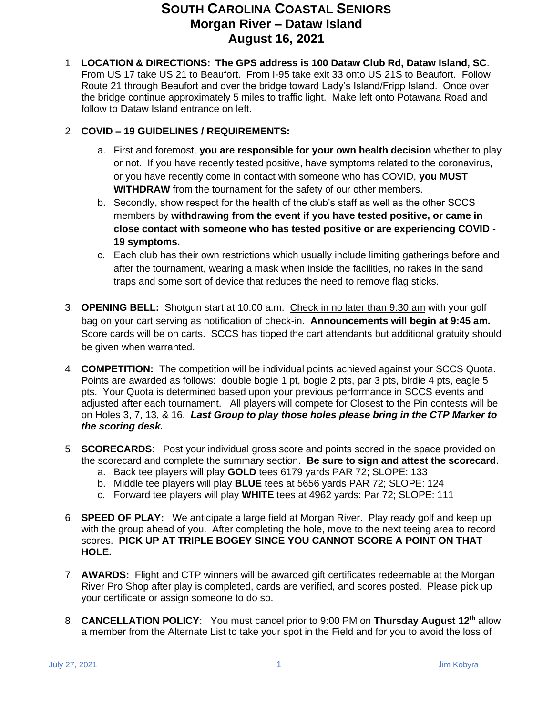## **SOUTH CAROLINA COASTAL SENIORS Morgan River – Dataw Island August 16, 2021**

1. **LOCATION & DIRECTIONS: The GPS address is 100 Dataw Club Rd, Dataw Island, SC**. From US 17 take US 21 to Beaufort. From I-95 take exit 33 onto US 21S to Beaufort. Follow Route 21 through Beaufort and over the bridge toward Lady's Island/Fripp Island. Once over the bridge continue approximately 5 miles to traffic light. Make left onto Potawana Road and follow to Dataw Island entrance on left.

## 2. **COVID – 19 GUIDELINES / REQUIREMENTS:**

- a. First and foremost, **you are responsible for your own health decision** whether to play or not. If you have recently tested positive, have symptoms related to the coronavirus, or you have recently come in contact with someone who has COVID, **you MUST WITHDRAW** from the tournament for the safety of our other members.
- b. Secondly, show respect for the health of the club's staff as well as the other SCCS members by **withdrawing from the event if you have tested positive, or came in close contact with someone who has tested positive or are experiencing COVID - 19 symptoms.**
- c. Each club has their own restrictions which usually include limiting gatherings before and after the tournament, wearing a mask when inside the facilities, no rakes in the sand traps and some sort of device that reduces the need to remove flag sticks.
- 3. **OPENING BELL:** Shotgun start at 10:00 a.m. Check in no later than 9:30 am with your golf bag on your cart serving as notification of check-in. **Announcements will begin at 9:45 am.**  Score cards will be on carts. SCCS has tipped the cart attendants but additional gratuity should be given when warranted.
- 4. **COMPETITION:** The competition will be individual points achieved against your SCCS Quota. Points are awarded as follows: double bogie 1 pt, bogie 2 pts, par 3 pts, birdie 4 pts, eagle 5 pts. Your Quota is determined based upon your previous performance in SCCS events and adjusted after each tournament. All players will compete for Closest to the Pin contests will be on Holes 3, 7, 13, & 16. *Last Group to play those holes please bring in the CTP Marker to the scoring desk.*
- 5. **SCORECARDS**: Post your individual gross score and points scored in the space provided on the scorecard and complete the summary section. **Be sure to sign and attest the scorecard**.
	- a. Back tee players will play **GOLD** tees 6179 yards PAR 72; SLOPE: 133
	- b. Middle tee players will play **BLUE** tees at 5656 yards PAR 72; SLOPE: 124
	- c. Forward tee players will play **WHITE** tees at 4962 yards: Par 72; SLOPE: 111
- 6. **SPEED OF PLAY:** We anticipate a large field at Morgan River. Play ready golf and keep up with the group ahead of you. After completing the hole, move to the next teeing area to record scores. **PICK UP AT TRIPLE BOGEY SINCE YOU CANNOT SCORE A POINT ON THAT HOLE.**
- 7. **AWARDS:** Flight and CTP winners will be awarded gift certificates redeemable at the Morgan River Pro Shop after play is completed, cards are verified, and scores posted. Please pick up your certificate or assign someone to do so.
- 8. **CANCELLATION POLICY**: You must cancel prior to 9:00 PM on **Thursday August 12th** allow a member from the Alternate List to take your spot in the Field and for you to avoid the loss of